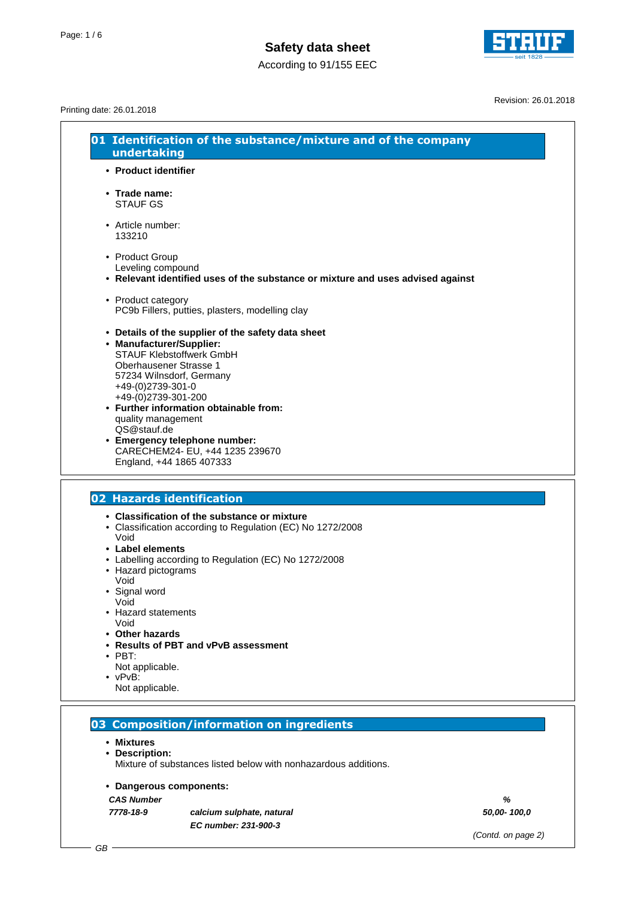



Revision: 26.01.2018

### Printing date: 26.01.2018

| • Product identifier                                                                                                                                                                                                                                                                                                                                                                               |
|----------------------------------------------------------------------------------------------------------------------------------------------------------------------------------------------------------------------------------------------------------------------------------------------------------------------------------------------------------------------------------------------------|
| • Trade name:<br><b>STAUF GS</b>                                                                                                                                                                                                                                                                                                                                                                   |
| • Article number:<br>133210                                                                                                                                                                                                                                                                                                                                                                        |
| • Product Group<br>Leveling compound<br>• Relevant identified uses of the substance or mixture and uses advised against                                                                                                                                                                                                                                                                            |
| • Product category<br>PC9b Fillers, putties, plasters, modelling clay                                                                                                                                                                                                                                                                                                                              |
| • Details of the supplier of the safety data sheet<br>• Manufacturer/Supplier:<br><b>STAUF Klebstoffwerk GmbH</b><br>Oberhausener Strasse 1<br>57234 Wilnsdorf, Germany<br>+49-(0)2739-301-0<br>+49-(0)2739-301-200<br>• Further information obtainable from:<br>quality management<br>QS@stauf.de<br>• Emergency telephone number:<br>CARECHEM24- EU, +44 1235 239670<br>England, +44 1865 407333 |
| 02 Hazards identification                                                                                                                                                                                                                                                                                                                                                                          |
| • Classification of the substance or mixture<br>• Classification according to Regulation (EC) No 1272/2008<br>Void<br>• Label elements<br>• Labelling according to Regulation (EC) No 1272/2008<br>• Hazard pictograms                                                                                                                                                                             |
| Void<br>· Signal word<br>Void<br><b>Hazard statements</b><br>Void                                                                                                                                                                                                                                                                                                                                  |
| • Other hazards<br>• Results of PBT and vPvB assessment<br>$\cdot$ PBT:<br>Not applicable.                                                                                                                                                                                                                                                                                                         |
| $\bullet$ vPvB:<br>Not applicable.                                                                                                                                                                                                                                                                                                                                                                 |

Mixture of substances listed below with nonhazardous additions.

### **• Dangerous components:**

**CAS Number %**

**7778-18-9 calcium sulphate, natural 50,00- 100,0 EC number: 231-900-3**

(Contd. on page 2)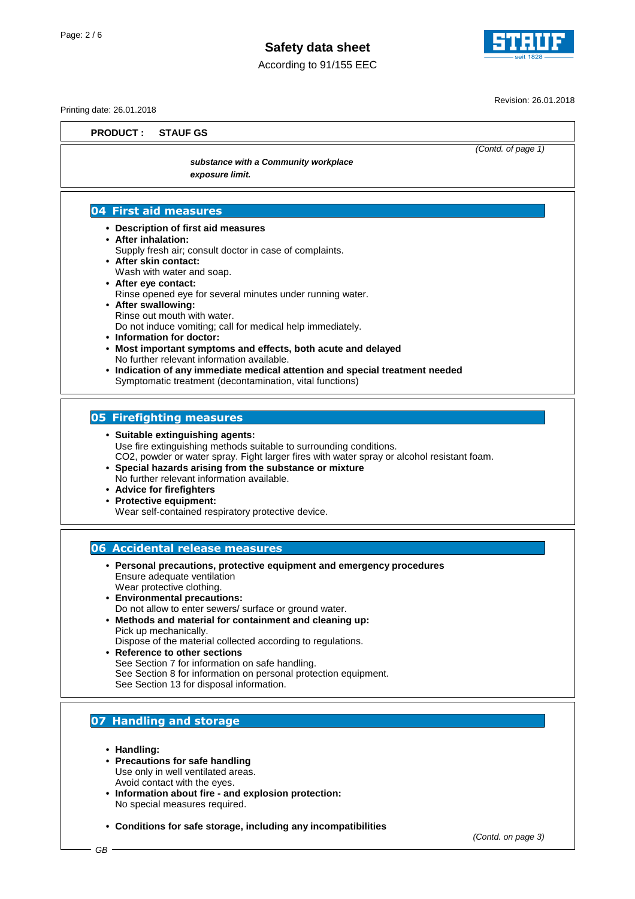

According to 91/155 EEC

Revision: 26.01.2018

(Contd. of page 1)

Printing date: 26.01.2018

**PRODUCT : STAUF GS**

**substance with a Community workplace exposure limit.**

### **04 First aid measures**

- **Description of first aid measures**
- **After inhalation:**
- Supply fresh air; consult doctor in case of complaints.
- **After skin contact:** Wash with water and soap.
- **After eye contact:** Rinse opened eye for several minutes under running water. **• After swallowing:**
	- Rinse out mouth with water. Do not induce vomiting; call for medical help immediately.
- **Information for doctor:**
- **Most important symptoms and effects, both acute and delayed** No further relevant information available.
- **Indication of any immediate medical attention and special treatment needed** Symptomatic treatment (decontamination, vital functions)

### **05 Firefighting measures**

- **Suitable extinguishing agents:** Use fire extinguishing methods suitable to surrounding conditions. CO2, powder or water spray. Fight larger fires with water spray or alcohol resistant foam.
- **Special hazards arising from the substance or mixture** No further relevant information available.
- **Advice for firefighters**
- **Protective equipment:**
	- Wear self-contained respiratory protective device.

### **06 Accidental release measures**

- **Personal precautions, protective equipment and emergency procedures** Ensure adequate ventilation Wear protective clothing.
- **Environmental precautions:** Do not allow to enter sewers/ surface or ground water.
- **Methods and material for containment and cleaning up:** Pick up mechanically.
	- Dispose of the material collected according to regulations.
- **Reference to other sections** See Section 7 for information on safe handling. See Section 8 for information on personal protection equipment. See Section 13 for disposal information.

### **07 Handling and storage**

- **Handling:**
- **Precautions for safe handling** Use only in well ventilated areas. Avoid contact with the eyes.
- **Information about fire and explosion protection:** No special measures required.
- **Conditions for safe storage, including any incompatibilities**

(Contd. on page 3)

GB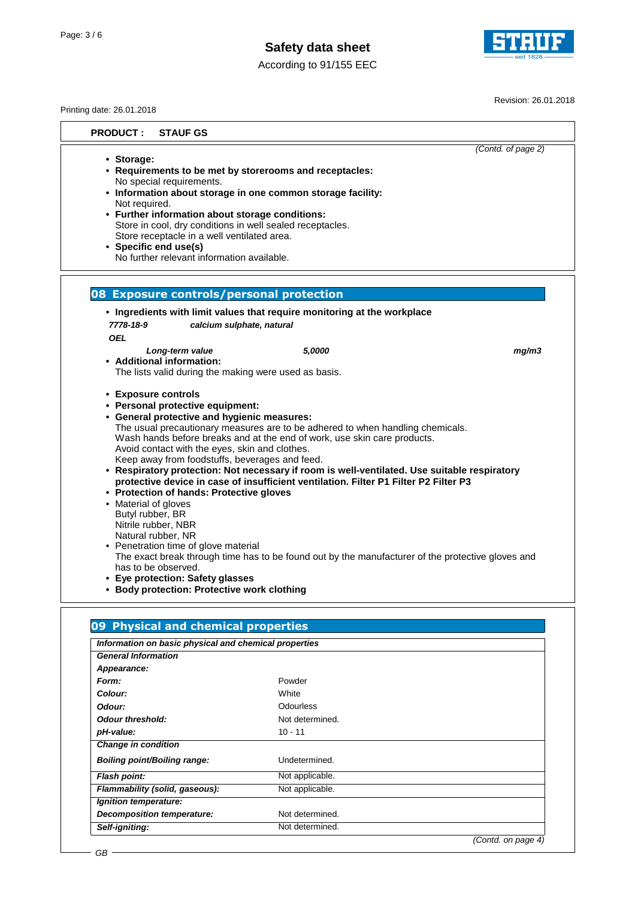According to 91/155 EEC



Revision: 26.01.2018

| Printing date: 26.01.2018                                                                                                           |                                                                                                                                                                                                                                                                                                                                                            |                                                                                                                                                                                                                                                    |                                                                                                                                                                                                   |
|-------------------------------------------------------------------------------------------------------------------------------------|------------------------------------------------------------------------------------------------------------------------------------------------------------------------------------------------------------------------------------------------------------------------------------------------------------------------------------------------------------|----------------------------------------------------------------------------------------------------------------------------------------------------------------------------------------------------------------------------------------------------|---------------------------------------------------------------------------------------------------------------------------------------------------------------------------------------------------|
| <b>PRODUCT:</b>                                                                                                                     | <b>STAUF GS</b>                                                                                                                                                                                                                                                                                                                                            |                                                                                                                                                                                                                                                    |                                                                                                                                                                                                   |
| • Storage:<br>Not required.<br>• Specific end use(s)                                                                                | No special requirements.<br>• Further information about storage conditions:<br>Store receptacle in a well ventilated area.<br>No further relevant information available.                                                                                                                                                                                   | • Requirements to be met by storerooms and receptacles:<br>• Information about storage in one common storage facility:<br>Store in cool, dry conditions in well sealed receptacles.                                                                | (Contd. of page 2)                                                                                                                                                                                |
|                                                                                                                                     |                                                                                                                                                                                                                                                                                                                                                            | 08 Exposure controls/personal protection                                                                                                                                                                                                           |                                                                                                                                                                                                   |
|                                                                                                                                     |                                                                                                                                                                                                                                                                                                                                                            | • Ingredients with limit values that require monitoring at the workplace                                                                                                                                                                           |                                                                                                                                                                                                   |
| 7778-18-9                                                                                                                           | calcium sulphate, natural                                                                                                                                                                                                                                                                                                                                  |                                                                                                                                                                                                                                                    |                                                                                                                                                                                                   |
| <b>OEL</b>                                                                                                                          |                                                                                                                                                                                                                                                                                                                                                            |                                                                                                                                                                                                                                                    |                                                                                                                                                                                                   |
| • Additional information:                                                                                                           | Long-term value<br>The lists valid during the making were used as basis.                                                                                                                                                                                                                                                                                   | 5,0000                                                                                                                                                                                                                                             | mg/m3                                                                                                                                                                                             |
| • Exposure controls<br>• Material of gloves<br>Butyl rubber, BR<br>Nitrile rubber, NBR<br>Natural rubber, NR<br>has to be observed. | • Personal protective equipment:<br>• General protective and hygienic measures:<br>Avoid contact with the eyes, skin and clothes.<br>Keep away from foodstuffs, beverages and feed.<br>• Protection of hands: Protective gloves<br>• Penetration time of glove material<br>• Eye protection: Safety glasses<br>• Body protection: Protective work clothing | The usual precautionary measures are to be adhered to when handling chemicals.<br>Wash hands before breaks and at the end of work, use skin care products.<br>protective device in case of insufficient ventilation. Filter P1 Filter P2 Filter P3 | • Respiratory protection: Not necessary if room is well-ventilated. Use suitable respiratory<br>The exact break through time has to be found out by the manufacturer of the protective gloves and |
|                                                                                                                                     |                                                                                                                                                                                                                                                                                                                                                            |                                                                                                                                                                                                                                                    |                                                                                                                                                                                                   |
|                                                                                                                                     | 09 Physical and chemical properties                                                                                                                                                                                                                                                                                                                        |                                                                                                                                                                                                                                                    |                                                                                                                                                                                                   |
|                                                                                                                                     | Information on basic physical and chemical properties                                                                                                                                                                                                                                                                                                      |                                                                                                                                                                                                                                                    |                                                                                                                                                                                                   |
| <b>General Information</b>                                                                                                          |                                                                                                                                                                                                                                                                                                                                                            |                                                                                                                                                                                                                                                    |                                                                                                                                                                                                   |
| Appearance:                                                                                                                         |                                                                                                                                                                                                                                                                                                                                                            |                                                                                                                                                                                                                                                    |                                                                                                                                                                                                   |
| Form:                                                                                                                               |                                                                                                                                                                                                                                                                                                                                                            | Powder                                                                                                                                                                                                                                             |                                                                                                                                                                                                   |
| Colour:<br>Odour:                                                                                                                   |                                                                                                                                                                                                                                                                                                                                                            | White                                                                                                                                                                                                                                              |                                                                                                                                                                                                   |
|                                                                                                                                     |                                                                                                                                                                                                                                                                                                                                                            | Odourless                                                                                                                                                                                                                                          |                                                                                                                                                                                                   |

**Odour threshold:** Not determined. **pH-value:** 10 - 11 **Change in condition Boiling point/Boiling range:** Undetermined. **Flash point:** Not applicable. **Flammability (solid, gaseous):** Not applicable. **Ignition temperature: Decomposition temperature:** Not determined. **Self-igniting:** Not determined. (Contd. on page 4)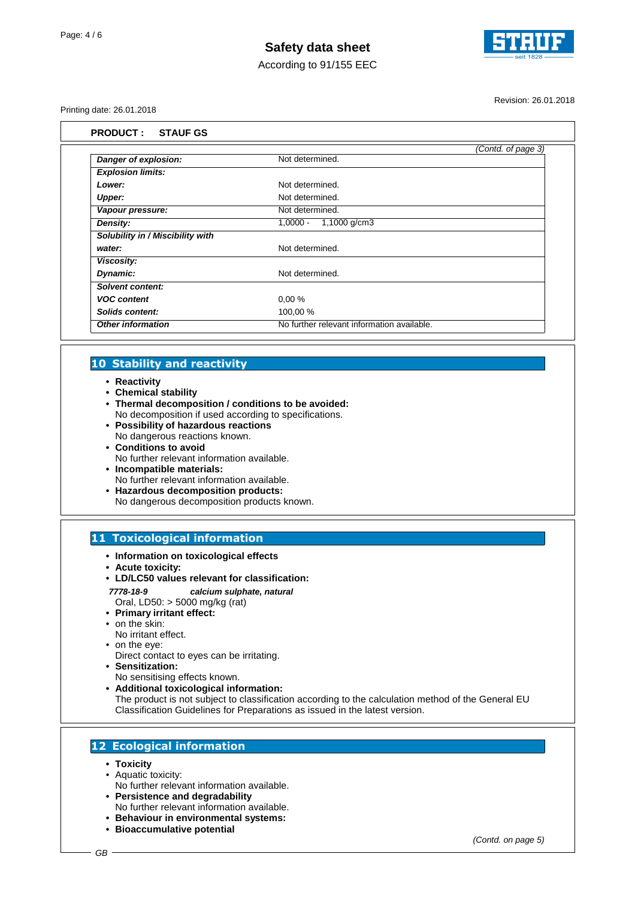

According to 91/155 EEC

Printing date: 26.01.2018

Revision: 26.01.2018

|                                  | (Contd. of page 3)                         |  |
|----------------------------------|--------------------------------------------|--|
| Danger of explosion:             | Not determined.                            |  |
| <b>Explosion limits:</b>         |                                            |  |
| Lower:                           | Not determined.                            |  |
| Upper:                           | Not determined.                            |  |
| Vapour pressure:                 | Not determined.                            |  |
| Density:                         | 1,0000 - 1,1000 g/cm3                      |  |
| Solubility in / Miscibility with |                                            |  |
| water:                           | Not determined.                            |  |
| Viscosity:                       |                                            |  |
| Dynamic:                         | Not determined.                            |  |
| Solvent content:                 |                                            |  |
| <b>VOC content</b>               | 0,00%                                      |  |
| Solids content:                  | 100,00 %                                   |  |
| <b>Other information</b>         | No further relevant information available. |  |

#### **10 Stability and reactivity**

- **Reactivity**
- **Chemical stability**
- **Thermal decomposition / conditions to be avoided:**
- No decomposition if used according to specifications. **• Possibility of hazardous reactions**
- No dangerous reactions known.
- **Conditions to avoid** No further relevant information available.
- **Incompatible materials:**
- No further relevant information available.
- **Hazardous decomposition products:** No dangerous decomposition products known.

### **11 Toxicological information**

- **Information on toxicological effects**
- **Acute toxicity:**
- **LD/LC50 values relevant for classification:**
- **7778-18-9 calcium sulphate, natural**
- Oral, LD50: > 5000 mg/kg (rat)
- **Primary irritant effect:** • on the skin:
- No irritant effect.
- on the eye:
- Direct contact to eyes can be irritating.
- **Sensitization:**
- No sensitising effects known.
- **Additional toxicological information:** The product is not subject to classification according to the calculation method of the General EU Classification Guidelines for Preparations as issued in the latest version.

### **12 Ecological information**

- **Toxicity**
- Aquatic toxicity:
- No further relevant information available. **• Persistence and degradability**
- No further relevant information available.
- **Behaviour in environmental systems:**
- **Bioaccumulative potential**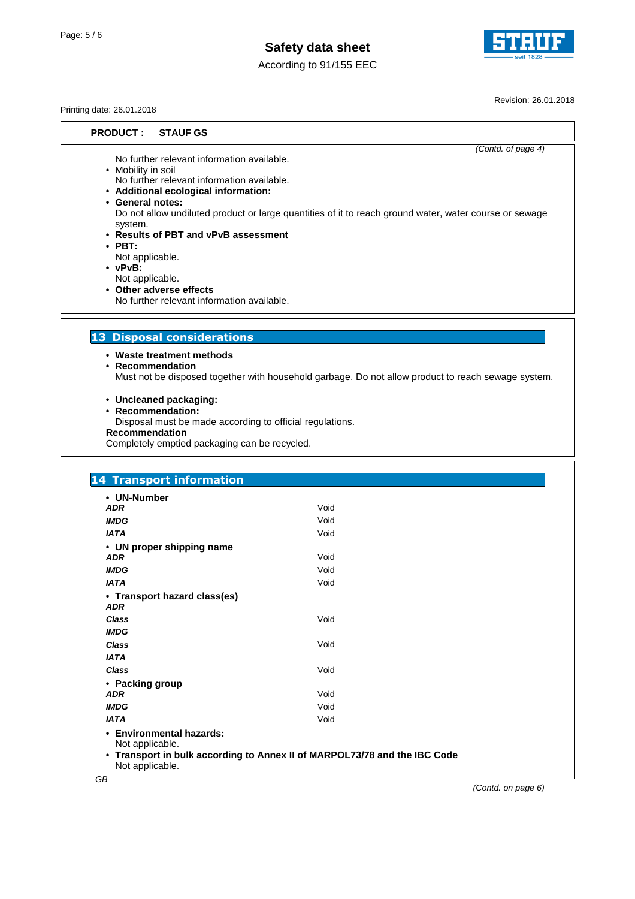



Revision: 26.01.2018

Printing date: 26.01.2018

**PRODUCT : STAUF GS**

(Contd. of page 4)

No further relevant information available.

- Mobility in soil
- No further relevant information available. **• Additional ecological information:**
- **General notes:**

Do not allow undiluted product or large quantities of it to reach ground water, water course or sewage system.

- **Results of PBT and vPvB assessment**
- **PBT:**
- Not applicable.
- **vPvB:**
- Not applicable.
- **Other adverse effects** No further relevant information available.

## **13 Disposal considerations**

**• Waste treatment methods**

**• Recommendation**

Must not be disposed together with household garbage. Do not allow product to reach sewage system.

**• Uncleaned packaging:**

**• Recommendation:**

Disposal must be made according to official regulations.

**Recommendation**

Completely emptied packaging can be recycled.

| • UN-Number<br><b>ADR</b>                   | Void                                                                      |  |
|---------------------------------------------|---------------------------------------------------------------------------|--|
| <b>IMDG</b>                                 | Void                                                                      |  |
| <b>IATA</b>                                 | Void                                                                      |  |
| • UN proper shipping name                   |                                                                           |  |
| <b>ADR</b>                                  | Void                                                                      |  |
| <b>IMDG</b>                                 | Void                                                                      |  |
| <b>IATA</b>                                 | Void                                                                      |  |
| • Transport hazard class(es)<br><b>ADR</b>  |                                                                           |  |
| <b>Class</b>                                | Void                                                                      |  |
| <b>IMDG</b>                                 |                                                                           |  |
| <b>Class</b>                                | Void                                                                      |  |
| <b>IATA</b>                                 |                                                                           |  |
| <b>Class</b>                                | Void                                                                      |  |
| • Packing group                             |                                                                           |  |
| <b>ADR</b>                                  | Void                                                                      |  |
| <b>IMDG</b>                                 | Void                                                                      |  |
| <b>IATA</b>                                 | Void                                                                      |  |
| • Environmental hazards:<br>Not applicable. |                                                                           |  |
| Not applicable.                             | • Transport in bulk according to Annex II of MARPOL73/78 and the IBC Code |  |

(Contd. on page 6)